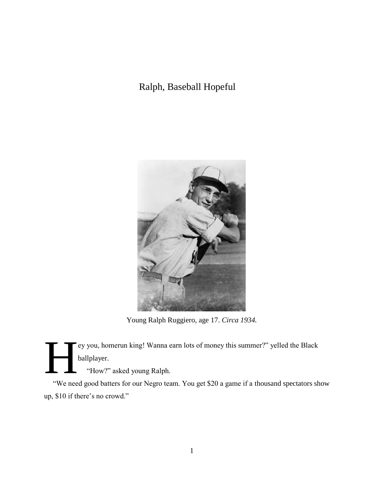## Ralph, Baseball Hopeful



Young Ralph Ruggiero, age 17. *Circa 1934.*

ey you, homerun king! Wanna earn lots of money this summer?" yelled the Black ballplayer. H

"How?" asked young Ralph.

"We need good batters for our Negro team. You get \$20 a game if a thousand spectators show up, \$10 if there's no crowd."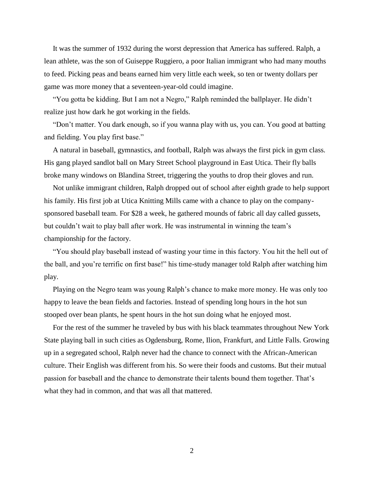It was the summer of 1932 during the worst depression that America has suffered. Ralph, a lean athlete, was the son of Guiseppe Ruggiero, a poor Italian immigrant who had many mouths to feed. Picking peas and beans earned him very little each week, so ten or twenty dollars per game was more money that a seventeen-year-old could imagine.

"You gotta be kidding. But I am not a Negro," Ralph reminded the ballplayer. He didn't realize just how dark he got working in the fields.

"Don't matter. You dark enough, so if you wanna play with us, you can. You good at batting and fielding. You play first base."

A natural in baseball, gymnastics, and football, Ralph was always the first pick in gym class. His gang played sandlot ball on Mary Street School playground in East Utica. Their fly balls broke many windows on Blandina Street, triggering the youths to drop their gloves and run.

Not unlike immigrant children, Ralph dropped out of school after eighth grade to help support his family. His first job at Utica Knitting Mills came with a chance to play on the companysponsored baseball team. For \$28 a week, he gathered mounds of fabric all day called gussets, but couldn't wait to play ball after work. He was instrumental in winning the team's championship for the factory.

"You should play baseball instead of wasting your time in this factory. You hit the hell out of the ball, and you're terrific on first base!" his time-study manager told Ralph after watching him play.

Playing on the Negro team was young Ralph's chance to make more money. He was only too happy to leave the bean fields and factories. Instead of spending long hours in the hot sun stooped over bean plants, he spent hours in the hot sun doing what he enjoyed most.

For the rest of the summer he traveled by bus with his black teammates throughout New York State playing ball in such cities as Ogdensburg, Rome, Ilion, Frankfurt, and Little Falls. Growing up in a segregated school, Ralph never had the chance to connect with the African-American culture. Their English was different from his. So were their foods and customs. But their mutual passion for baseball and the chance to demonstrate their talents bound them together. That's what they had in common, and that was all that mattered.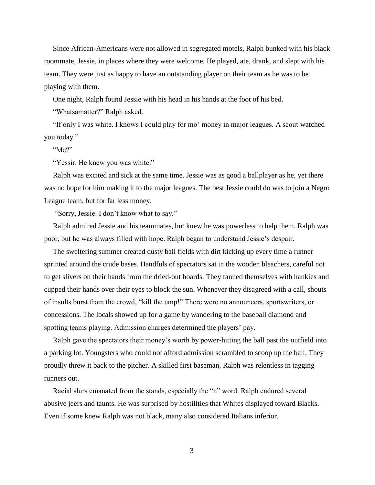Since African-Americans were not allowed in segregated motels, Ralph bunked with his black roommate, Jessie, in places where they were welcome. He played, ate, drank, and slept with his team. They were just as happy to have an outstanding player on their team as he was to be playing with them.

One night, Ralph found Jessie with his head in his hands at the foot of his bed.

"Whatsamatter?" Ralph asked.

"If only I was white. I knows I could play for mo' money in major leagues. A scout watched you today."

"Me?"

"Yessir. He knew you was white."

Ralph was excited and sick at the same time. Jessie was as good a ballplayer as he, yet there was no hope for him making it to the major leagues. The best Jessie could do was to join a Negro League team, but for far less money.

"Sorry, Jessie. I don't know what to say."

Ralph admired Jessie and his teammates, but knew he was powerless to help them. Ralph was poor, but he was always filled with hope. Ralph began to understand Jessie's despair.

The sweltering summer created dusty ball fields with dirt kicking up every time a runner sprinted around the crude bases. Handfuls of spectators sat in the wooden bleachers, careful not to get slivers on their hands from the dried-out boards. They fanned themselves with hankies and cupped their hands over their eyes to block the sun. Whenever they disagreed with a call, shouts of insults burst from the crowd, "kill the ump!" There were no announcers, sportswriters, or concessions. The locals showed up for a game by wandering to the baseball diamond and spotting teams playing. Admission charges determined the players' pay.

Ralph gave the spectators their money's worth by power-hitting the ball past the outfield into a parking lot. Youngsters who could not afford admission scrambled to scoop up the ball. They proudly threw it back to the pitcher. A skilled first baseman, Ralph was relentless in tagging runners out.

Racial slurs emanated from the stands, especially the "n" word. Ralph endured several abusive jeers and taunts. He was surprised by hostilities that Whites displayed toward Blacks. Even if some knew Ralph was not black, many also considered Italians inferior.

3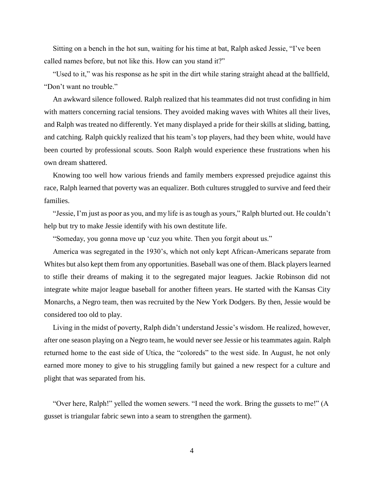Sitting on a bench in the hot sun, waiting for his time at bat, Ralph asked Jessie, "I've been called names before, but not like this. How can you stand it?"

"Used to it," was his response as he spit in the dirt while staring straight ahead at the ballfield, "Don't want no trouble."

An awkward silence followed. Ralph realized that his teammates did not trust confiding in him with matters concerning racial tensions. They avoided making waves with Whites all their lives, and Ralph was treated no differently. Yet many displayed a pride for their skills at sliding, batting, and catching. Ralph quickly realized that his team's top players, had they been white, would have been courted by professional scouts. Soon Ralph would experience these frustrations when his own dream shattered.

Knowing too well how various friends and family members expressed prejudice against this race, Ralph learned that poverty was an equalizer. Both cultures struggled to survive and feed their families.

"Jessie, I'm just as poor as you, and my life is as tough as yours," Ralph blurted out. He couldn't help but try to make Jessie identify with his own destitute life.

"Someday, you gonna move up 'cuz you white. Then you forgit about us."

America was segregated in the 1930's, which not only kept African-Americans separate from Whites but also kept them from any opportunities. Baseball was one of them. Black players learned to stifle their dreams of making it to the segregated major leagues. Jackie Robinson did not integrate white major league baseball for another fifteen years. He started with the Kansas City Monarchs, a Negro team, then was recruited by the New York Dodgers. By then, Jessie would be considered too old to play.

Living in the midst of poverty, Ralph didn't understand Jessie's wisdom. He realized, however, after one season playing on a Negro team, he would never see Jessie or his teammates again. Ralph returned home to the east side of Utica, the "coloreds" to the west side. In August, he not only earned more money to give to his struggling family but gained a new respect for a culture and plight that was separated from his.

"Over here, Ralph!" yelled the women sewers. "I need the work. Bring the gussets to me!" (A gusset is triangular fabric sewn into a seam to strengthen the garment).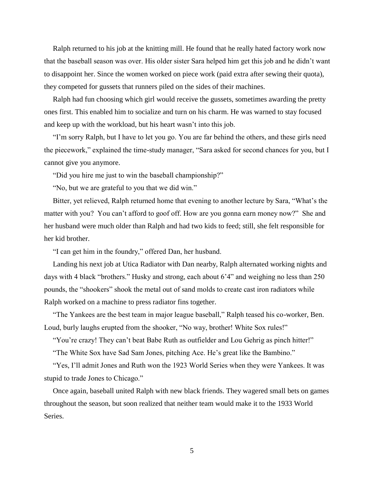Ralph returned to his job at the knitting mill. He found that he really hated factory work now that the baseball season was over. His older sister Sara helped him get this job and he didn't want to disappoint her. Since the women worked on piece work (paid extra after sewing their quota), they competed for gussets that runners piled on the sides of their machines.

Ralph had fun choosing which girl would receive the gussets, sometimes awarding the pretty ones first. This enabled him to socialize and turn on his charm. He was warned to stay focused and keep up with the workload, but his heart wasn't into this job.

"I'm sorry Ralph, but I have to let you go. You are far behind the others, and these girls need the piecework," explained the time-study manager, "Sara asked for second chances for you, but I cannot give you anymore.

"Did you hire me just to win the baseball championship?"

"No, but we are grateful to you that we did win."

Bitter, yet relieved, Ralph returned home that evening to another lecture by Sara, "What's the matter with you? You can't afford to goof off. How are you gonna earn money now?" She and her husband were much older than Ralph and had two kids to feed; still, she felt responsible for her kid brother.

"I can get him in the foundry," offered Dan, her husband.

Landing his next job at Utica Radiator with Dan nearby, Ralph alternated working nights and days with 4 black "brothers." Husky and strong, each about 6'4" and weighing no less than 250 pounds, the "shookers" shook the metal out of sand molds to create cast iron radiators while Ralph worked on a machine to press radiator fins together.

"The Yankees are the best team in major league baseball," Ralph teased his co-worker, Ben. Loud, burly laughs erupted from the shooker, "No way, brother! White Sox rules!"

"You're crazy! They can't beat Babe Ruth as outfielder and Lou Gehrig as pinch hitter!"

"The White Sox have Sad Sam Jones, pitching Ace. He's great like the Bambino."

"Yes, I'll admit Jones and Ruth won the 1923 World Series when they were Yankees. It was stupid to trade Jones to Chicago."

Once again, baseball united Ralph with new black friends. They wagered small bets on games throughout the season, but soon realized that neither team would make it to the 1933 World Series.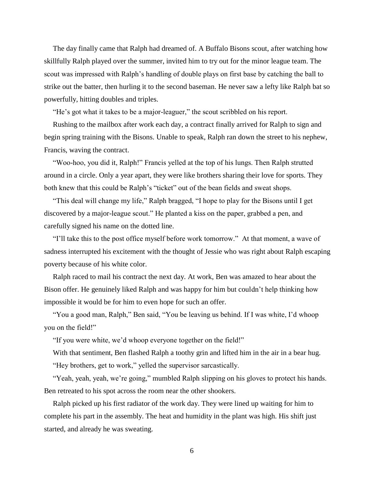The day finally came that Ralph had dreamed of. A Buffalo Bisons scout, after watching how skillfully Ralph played over the summer, invited him to try out for the minor league team. The scout was impressed with Ralph's handling of double plays on first base by catching the ball to strike out the batter, then hurling it to the second baseman. He never saw a lefty like Ralph bat so powerfully, hitting doubles and triples.

"He's got what it takes to be a major-leaguer," the scout scribbled on his report.

Rushing to the mailbox after work each day, a contract finally arrived for Ralph to sign and begin spring training with the Bisons. Unable to speak, Ralph ran down the street to his nephew, Francis, waving the contract.

"Woo-hoo, you did it, Ralph!" Francis yelled at the top of his lungs. Then Ralph strutted around in a circle. Only a year apart, they were like brothers sharing their love for sports. They both knew that this could be Ralph's "ticket" out of the bean fields and sweat shops.

"This deal will change my life," Ralph bragged, "I hope to play for the Bisons until I get discovered by a major-league scout." He planted a kiss on the paper, grabbed a pen, and carefully signed his name on the dotted line.

"I'll take this to the post office myself before work tomorrow." At that moment, a wave of sadness interrupted his excitement with the thought of Jessie who was right about Ralph escaping poverty because of his white color.

Ralph raced to mail his contract the next day. At work, Ben was amazed to hear about the Bison offer. He genuinely liked Ralph and was happy for him but couldn't help thinking how impossible it would be for him to even hope for such an offer.

"You a good man, Ralph," Ben said, "You be leaving us behind. If I was white, I'd whoop you on the field!"

"If you were white, we'd whoop everyone together on the field!"

With that sentiment, Ben flashed Ralph a toothy grin and lifted him in the air in a bear hug. "Hey brothers, get to work," yelled the supervisor sarcastically.

"Yeah, yeah, yeah, we're going," mumbled Ralph slipping on his gloves to protect his hands. Ben retreated to his spot across the room near the other shookers.

Ralph picked up his first radiator of the work day. They were lined up waiting for him to complete his part in the assembly. The heat and humidity in the plant was high. His shift just started, and already he was sweating.